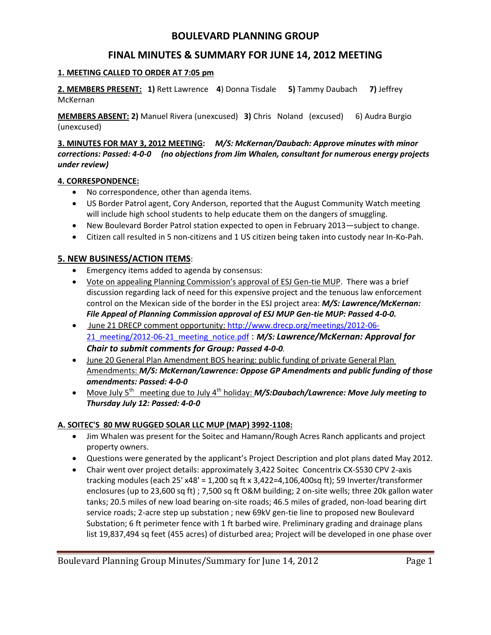# **BOULEVARD PLANNING GROUP**

# **FINAL MINUTES & SUMMARY FOR JUNE 14, 2012 MEETING**

#### **1. MEETING CALLED TO ORDER AT 7:05 pm**

**2. MEMBERS PRESENT: 1)** Rett Lawrence **4**) Donna Tisdale **5)** Tammy Daubach **7)** Jeffrey McKernan

**MEMBERS ABSENT: 2)** Manuel Rivera (unexcused) **3)** Chris Noland (excused) 6) Audra Burgio (unexcused)

**3. MINUTES FOR MAY 3, 2012 MEETING:** *M/S: McKernan/Daubach: Approve minutes with minor corrections: Passed: 4-0-0 (no objections from Jim Whalen, consultant for numerous energy projects under review)* 

#### **4. CORRESPONDENCE:**

- No correspondence, other than agenda items.
- US Border Patrol agent, Cory Anderson, reported that the August Community Watch meeting will include high school students to help educate them on the dangers of smuggling.
- New Boulevard Border Patrol station expected to open in February 2013—subject to change.
- Citizen call resulted in 5 non-citizens and 1 US citizen being taken into custody near In-Ko-Pah.

### **5. NEW BUSINESS/ACTION ITEMS**:

- **Emergency items added to agenda by consensus:**
- Vote on appealing Planning Commission's approval of ESJ Gen-tie MUP. There was a brief discussion regarding lack of need for this expensive project and the tenuous law enforcement control on the Mexican side of the border in the ESJ project area: *M/S: Lawrence/McKernan: File Appeal of Planning Commission approval of ESJ MUP Gen-tie MUP: Passed 4-0-0.*
- June 21 DRECP comment opportunity: http://www.drecp.org/meetings/2012-06- 21\_meeting/2012-06-21\_meeting\_notice.pdf : *M/S: Lawrence/McKernan: Approval for Chair to submit comments for Group: Passed 4-0-0.*
- June 20 General Plan Amendment BOS hearing: public funding of private General Plan Amendments: *M/S: McKernan/Lawrence: Oppose GP Amendments and public funding of those amendments: Passed: 4-0-0*
- Move July 5<sup>th</sup> meeting due to July 4<sup>th</sup> holiday: *M/S:Daubach/Lawrence: Move July meeting to Thursday July 12: Passed: 4-0-0*

### **A. SOITEC'S 80 MW RUGGED SOLAR LLC MUP (MAP) 3992-1108:**

- Jim Whalen was present for the Soitec and Hamann/Rough Acres Ranch applicants and project property owners.
- Questions were generated by the applicant's Project Description and plot plans dated May 2012.
- Chair went over project details: approximately 3,422 Soitec Concentrix CX-S530 CPV 2-axis tracking modules (each 25' x48' = 1,200 sq ft x 3,422=4,106,400sq ft); 59 Inverter/transformer enclosures (up to 23,600 sq ft) ; 7,500 sq ft O&M building; 2 on-site wells; three 20k gallon water tanks; 20.5 miles of new load bearing on-site roads; 46.5 miles of graded, non-load bearing dirt service roads; 2-acre step up substation ; new 69kV gen-tie line to proposed new Boulevard Substation; 6 ft perimeter fence with 1 ft barbed wire. Preliminary grading and drainage plans list 19,837,494 sq feet (455 acres) of disturbed area; Project will be developed in one phase over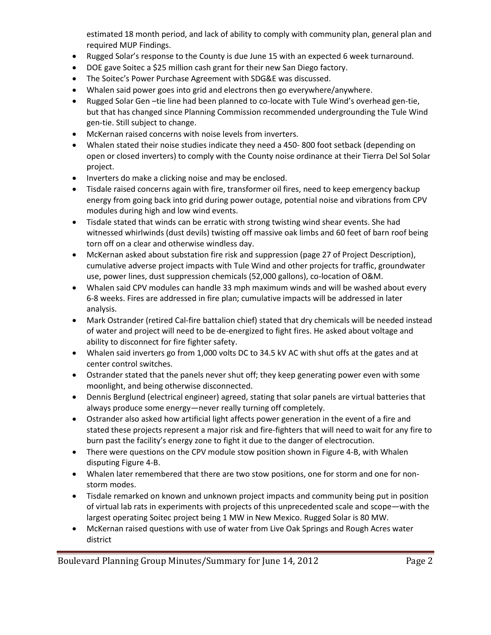estimated 18 month period, and lack of ability to comply with community plan, general plan and required MUP Findings.

- Rugged Solar's response to the County is due June 15 with an expected 6 week turnaround.
- DOE gave Soitec a \$25 million cash grant for their new San Diego factory.
- The Soitec's Power Purchase Agreement with SDG&E was discussed.
- Whalen said power goes into grid and electrons then go everywhere/anywhere.
- Rugged Solar Gen –tie line had been planned to co-locate with Tule Wind's overhead gen-tie, but that has changed since Planning Commission recommended undergrounding the Tule Wind gen-tie. Still subject to change.
- McKernan raised concerns with noise levels from inverters.
- Whalen stated their noise studies indicate they need a 450- 800 foot setback (depending on open or closed inverters) to comply with the County noise ordinance at their Tierra Del Sol Solar project.
- Inverters do make a clicking noise and may be enclosed.
- Tisdale raised concerns again with fire, transformer oil fires, need to keep emergency backup energy from going back into grid during power outage, potential noise and vibrations from CPV modules during high and low wind events.
- Tisdale stated that winds can be erratic with strong twisting wind shear events. She had witnessed whirlwinds (dust devils) twisting off massive oak limbs and 60 feet of barn roof being torn off on a clear and otherwise windless day.
- McKernan asked about substation fire risk and suppression (page 27 of Project Description), cumulative adverse project impacts with Tule Wind and other projects for traffic, groundwater use, power lines, dust suppression chemicals (52,000 gallons), co-location of O&M.
- Whalen said CPV modules can handle 33 mph maximum winds and will be washed about every 6-8 weeks. Fires are addressed in fire plan; cumulative impacts will be addressed in later analysis.
- Mark Ostrander (retired Cal-fire battalion chief) stated that dry chemicals will be needed instead of water and project will need to be de-energized to fight fires. He asked about voltage and ability to disconnect for fire fighter safety.
- Whalen said inverters go from 1,000 volts DC to 34.5 kV AC with shut offs at the gates and at center control switches.
- Ostrander stated that the panels never shut off; they keep generating power even with some moonlight, and being otherwise disconnected.
- Dennis Berglund (electrical engineer) agreed, stating that solar panels are virtual batteries that always produce some energy—never really turning off completely.
- Ostrander also asked how artificial light affects power generation in the event of a fire and stated these projects represent a major risk and fire-fighters that will need to wait for any fire to burn past the facility's energy zone to fight it due to the danger of electrocution.
- There were questions on the CPV module stow position shown in Figure 4-B, with Whalen disputing Figure 4-B.
- Whalen later remembered that there are two stow positions, one for storm and one for nonstorm modes.
- Tisdale remarked on known and unknown project impacts and community being put in position of virtual lab rats in experiments with projects of this unprecedented scale and scope—with the largest operating Soitec project being 1 MW in New Mexico. Rugged Solar is 80 MW.
- McKernan raised questions with use of water from Live Oak Springs and Rough Acres water district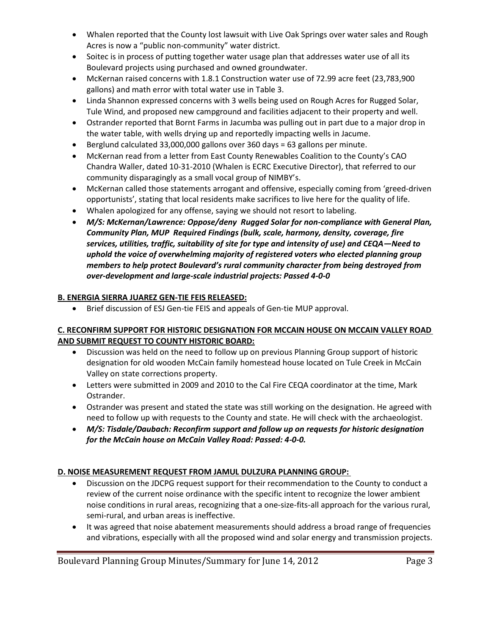- Whalen reported that the County lost lawsuit with Live Oak Springs over water sales and Rough Acres is now a "public non-community" water district.
- Soitec is in process of putting together water usage plan that addresses water use of all its Boulevard projects using purchased and owned groundwater.
- McKernan raised concerns with 1.8.1 Construction water use of 72.99 acre feet (23,783,900 gallons) and math error with total water use in Table 3.
- Linda Shannon expressed concerns with 3 wells being used on Rough Acres for Rugged Solar, Tule Wind, and proposed new campground and facilities adjacent to their property and well.
- Ostrander reported that Bornt Farms in Jacumba was pulling out in part due to a major drop in the water table, with wells drying up and reportedly impacting wells in Jacume.
- Berglund calculated 33,000,000 gallons over 360 days = 63 gallons per minute.
- McKernan read from a letter from East County Renewables Coalition to the County's CAO Chandra Waller, dated 10-31-2010 (Whalen is ECRC Executive Director), that referred to our community disparagingly as a small vocal group of NIMBY's.
- McKernan called those statements arrogant and offensive, especially coming from 'greed-driven opportunists', stating that local residents make sacrifices to live here for the quality of life.
- Whalen apologized for any offense, saying we should not resort to labeling.
- *M/S: McKernan/Lawrence: Oppose/deny Rugged Solar for non-compliance with General Plan, Community Plan, MUP Required Findings (bulk, scale, harmony, density, coverage, fire services, utilities, traffic, suitability of site for type and intensity of use) and CEQA—Need to uphold the voice of overwhelming majority of registered voters who elected planning group members to help protect Boulevard's rural community character from being destroyed from over-development and large-scale industrial projects: Passed 4-0-0*

# **B. ENERGIA SIERRA JUAREZ GEN-TIE FEIS RELEASED:**

Brief discussion of ESJ Gen-tie FEIS and appeals of Gen-tie MUP approval.

### **C. RECONFIRM SUPPORT FOR HISTORIC DESIGNATION FOR MCCAIN HOUSE ON MCCAIN VALLEY ROAD AND SUBMIT REQUEST TO COUNTY HISTORIC BOARD:**

- Discussion was held on the need to follow up on previous Planning Group support of historic designation for old wooden McCain family homestead house located on Tule Creek in McCain Valley on state corrections property.
- Letters were submitted in 2009 and 2010 to the Cal Fire CEQA coordinator at the time, Mark Ostrander.
- Ostrander was present and stated the state was still working on the designation. He agreed with need to follow up with requests to the County and state. He will check with the archaeologist.
- *M/S: Tisdale/Daubach: Reconfirm support and follow up on requests for historic designation for the McCain house on McCain Valley Road: Passed: 4-0-0.*

## **D. NOISE MEASUREMENT REQUEST FROM JAMUL DULZURA PLANNING GROUP:**

- Discussion on the JDCPG request support for their recommendation to the County to conduct a review of the current noise ordinance with the specific intent to recognize the lower ambient noise conditions in rural areas, recognizing that a one-size-fits-all approach for the various rural, semi-rural, and urban areas is ineffective.
- It was agreed that noise abatement measurements should address a broad range of frequencies and vibrations, especially with all the proposed wind and solar energy and transmission projects.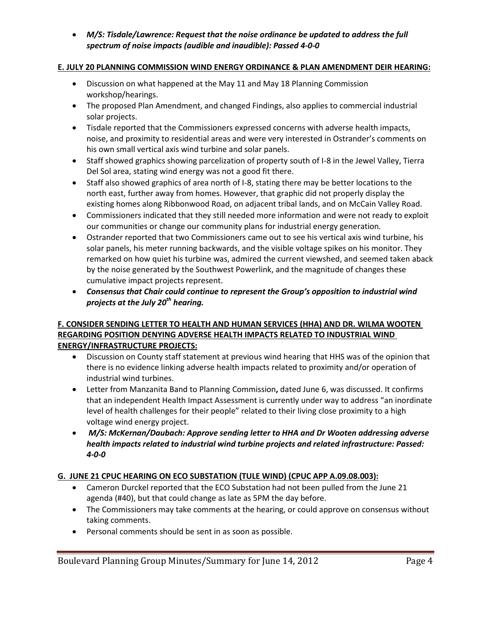*M/S: Tisdale/Lawrence: Request that the noise ordinance be updated to address the full spectrum of noise impacts (audible and inaudible): Passed 4-0-0*

### **E. JULY 20 PLANNING COMMISSION WIND ENERGY ORDINANCE & PLAN AMENDMENT DEIR HEARING:**

- Discussion on what happened at the May 11 and May 18 Planning Commission workshop/hearings.
- The proposed Plan Amendment, and changed Findings, also applies to commercial industrial solar projects.
- Tisdale reported that the Commissioners expressed concerns with adverse health impacts, noise, and proximity to residential areas and were very interested in Ostrander's comments on his own small vertical axis wind turbine and solar panels.
- Staff showed graphics showing parcelization of property south of I-8 in the Jewel Valley, Tierra Del Sol area, stating wind energy was not a good fit there.
- Staff also showed graphics of area north of I-8, stating there may be better locations to the north east, further away from homes. However, that graphic did not properly display the existing homes along Ribbonwood Road, on adjacent tribal lands, and on McCain Valley Road.
- Commissioners indicated that they still needed more information and were not ready to exploit our communities or change our community plans for industrial energy generation.
- Ostrander reported that two Commissioners came out to see his vertical axis wind turbine, his solar panels, his meter running backwards, and the visible voltage spikes on his monitor. They remarked on how quiet his turbine was, admired the current viewshed, and seemed taken aback by the noise generated by the Southwest Powerlink, and the magnitude of changes these cumulative impact projects represent.
- *Consensus that Chair could continue to represent the Group's opposition to industrial wind projects at the July 20th hearing.*

## **F. CONSIDER SENDING LETTER TO HEALTH AND HUMAN SERVICES (HHA) AND DR. WILMA WOOTEN REGARDING POSITION DENYING ADVERSE HEALTH IMPACTS RELATED TO INDUSTRIAL WIND ENERGY/INFRASTRUCTURE PROJECTS:**

- Discussion on County staff statement at previous wind hearing that HHS was of the opinion that there is no evidence linking adverse health impacts related to proximity and/or operation of industrial wind turbines.
- Letter from Manzanita Band to Planning Commission**,** dated June 6, was discussed. It confirms that an independent Health Impact Assessment is currently under way to address "an inordinate level of health challenges for their people" related to their living close proximity to a high voltage wind energy project.
- *M/S: McKernan/Daubach: Approve sending letter to HHA and Dr Wooten addressing adverse health impacts related to industrial wind turbine projects and related infrastructure: Passed: 4-0-0*

## **G. JUNE 21 CPUC HEARING ON ECO SUBSTATION (TULE WIND) (CPUC APP A.09.08.003):**

- Cameron Durckel reported that the ECO Substation had not been pulled from the June 21 agenda (#40), but that could change as late as 5PM the day before.
- The Commissioners may take comments at the hearing, or could approve on consensus without taking comments.
- Personal comments should be sent in as soon as possible.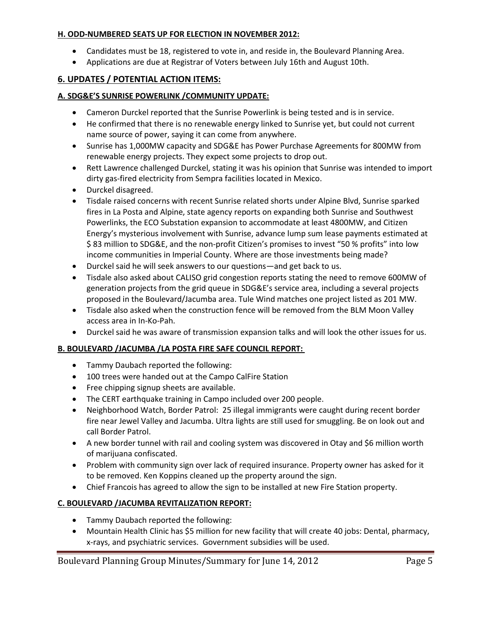#### **H. ODD-NUMBERED SEATS UP FOR ELECTION IN NOVEMBER 2012:**

- Candidates must be 18, registered to vote in, and reside in, the Boulevard Planning Area.
- Applications are due at Registrar of Voters between July 16th and August 10th.

## **6. UPDATES / POTENTIAL ACTION ITEMS:**

#### **A. SDG&E'S SUNRISE POWERLINK /COMMUNITY UPDATE:**

- Cameron Durckel reported that the Sunrise Powerlink is being tested and is in service.
- He confirmed that there is no renewable energy linked to Sunrise yet, but could not current name source of power, saying it can come from anywhere.
- Sunrise has 1,000MW capacity and SDG&E has Power Purchase Agreements for 800MW from renewable energy projects. They expect some projects to drop out.
- Rett Lawrence challenged Durckel, stating it was his opinion that Sunrise was intended to import dirty gas-fired electricity from Sempra facilities located in Mexico.
- Durckel disagreed.
- Tisdale raised concerns with recent Sunrise related shorts under Alpine Blvd, Sunrise sparked fires in La Posta and Alpine, state agency reports on expanding both Sunrise and Southwest Powerlinks, the ECO Substation expansion to accommodate at least 4800MW, and Citizen Energy's mysterious involvement with Sunrise, advance lump sum lease payments estimated at \$ 83 million to SDG&E, and the non-profit Citizen's promises to invest "50 % profits" into low income communities in Imperial County. Where are those investments being made?
- Durckel said he will seek answers to our questions—and get back to us.
- Tisdale also asked about CALISO grid congestion reports stating the need to remove 600MW of generation projects from the grid queue in SDG&E's service area, including a several projects proposed in the Boulevard/Jacumba area. Tule Wind matches one project listed as 201 MW.
- Tisdale also asked when the construction fence will be removed from the BLM Moon Valley access area in In-Ko-Pah.
- Durckel said he was aware of transmission expansion talks and will look the other issues for us.

### **B. BOULEVARD /JACUMBA /LA POSTA FIRE SAFE COUNCIL REPORT:**

- Tammy Daubach reported the following:
- 100 trees were handed out at the Campo CalFire Station
- Free chipping signup sheets are available.
- The CERT earthquake training in Campo included over 200 people.
- Neighborhood Watch, Border Patrol: 25 illegal immigrants were caught during recent border fire near Jewel Valley and Jacumba. Ultra lights are still used for smuggling. Be on look out and call Border Patrol.
- A new border tunnel with rail and cooling system was discovered in Otay and \$6 million worth of marijuana confiscated.
- Problem with community sign over lack of required insurance. Property owner has asked for it to be removed. Ken Koppins cleaned up the property around the sign.
- Chief Francois has agreed to allow the sign to be installed at new Fire Station property.

### **C. BOULEVARD /JACUMBA REVITALIZATION REPORT:**

- Tammy Daubach reported the following:
- Mountain Health Clinic has \$5 million for new facility that will create 40 jobs: Dental, pharmacy, x-rays, and psychiatric services. Government subsidies will be used.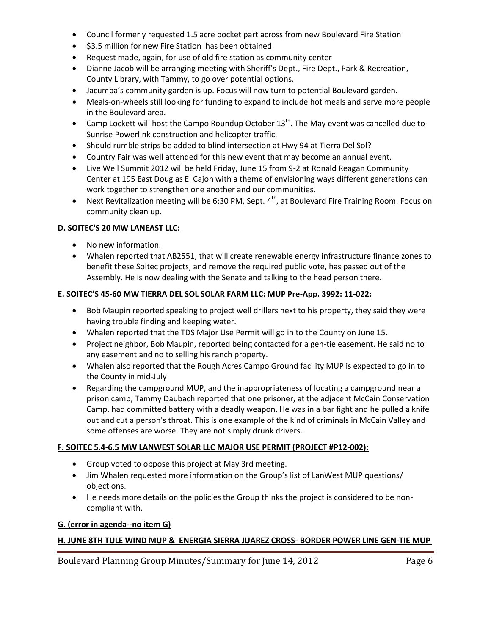- Council formerly requested 1.5 acre pocket part across from new Boulevard Fire Station
- \$3.5 million for new Fire Station has been obtained
- Request made, again, for use of old fire station as community center
- Dianne Jacob will be arranging meeting with Sheriff's Dept., Fire Dept., Park & Recreation, County Library, with Tammy, to go over potential options.
- Jacumba's community garden is up. Focus will now turn to potential Boulevard garden.
- Meals-on-wheels still looking for funding to expand to include hot meals and serve more people in the Boulevard area.
- Camp Lockett will host the Campo Roundup October  $13^{th}$ . The May event was cancelled due to Sunrise Powerlink construction and helicopter traffic.
- Should rumble strips be added to blind intersection at Hwy 94 at Tierra Del Sol?
- Country Fair was well attended for this new event that may become an annual event.
- Live Well Summit 2012 will be held Friday, June 15 from 9-2 at Ronald Reagan Community Center at 195 East Douglas El Cajon with a theme of envisioning ways different generations can work together to strengthen one another and our communities.
- Next Revitalization meeting will be 6:30 PM, Sept.  $4<sup>th</sup>$ , at Boulevard Fire Training Room. Focus on community clean up.

### **D. SOITEC'S 20 MW LANEAST LLC:**

- No new information.
- Whalen reported that AB2551, that will create renewable energy infrastructure finance zones to benefit these Soitec projects, and remove the required public vote, has passed out of the Assembly. He is now dealing with the Senate and talking to the head person there.

### **E. SOITEC'S 45-60 MW TIERRA DEL SOL SOLAR FARM LLC: MUP Pre-App. 3992: 11-022:**

- Bob Maupin reported speaking to project well drillers next to his property, they said they were having trouble finding and keeping water.
- Whalen reported that the TDS Major Use Permit will go in to the County on June 15.
- Project neighbor, Bob Maupin, reported being contacted for a gen-tie easement. He said no to any easement and no to selling his ranch property.
- Whalen also reported that the Rough Acres Campo Ground facility MUP is expected to go in to the County in mid-July
- Regarding the campground MUP, and the inappropriateness of locating a campground near a prison camp, Tammy Daubach reported that one prisoner, at the adjacent McCain Conservation Camp, had committed battery with a deadly weapon. He was in a bar fight and he pulled a knife out and cut a person's throat. This is one example of the kind of criminals in McCain Valley and some offenses are worse. They are not simply drunk drivers.

### **F. SOITEC 5.4-6.5 MW LANWEST SOLAR LLC MAJOR USE PERMIT (PROJECT #P12-002):**

- Group voted to oppose this project at May 3rd meeting.
- Jim Whalen requested more information on the Group's list of LanWest MUP questions/ objections.
- He needs more details on the policies the Group thinks the project is considered to be noncompliant with.

### **G. (error in agenda--no item G)**

## **H. JUNE 8TH TULE WIND MUP & ENERGIA SIERRA JUAREZ CROSS- BORDER POWER LINE GEN-TIE MUP**

Boulevard Planning Group Minutes/Summary for June 14, 2012 Page 6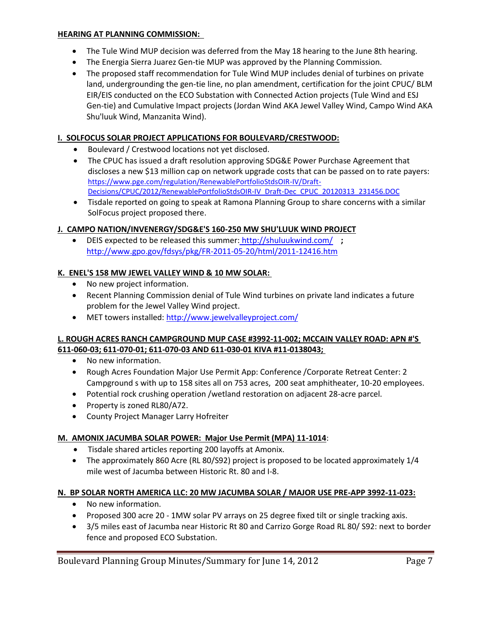#### **HEARING AT PLANNING COMMISSION:**

- The Tule Wind MUP decision was deferred from the May 18 hearing to the June 8th hearing.
- The Energia Sierra Juarez Gen-tie MUP was approved by the Planning Commission.
- The proposed staff recommendation for Tule Wind MUP includes denial of turbines on private land, undergrounding the gen-tie line, no plan amendment, certification for the joint CPUC/ BLM EIR/EIS conducted on the ECO Substation with Connected Action projects (Tule Wind and ESJ Gen-tie) and Cumulative Impact projects (Jordan Wind AKA Jewel Valley Wind, Campo Wind AKA Shu'luuk Wind, Manzanita Wind).

### **I. SOLFOCUS SOLAR PROJECT APPLICATIONS FOR BOULEVARD/CRESTWOOD:**

- Boulevard / Crestwood locations not yet disclosed.
- The CPUC has issued a draft resolution approving SDG&E Power Purchase Agreement that discloses a new \$13 million cap on network upgrade costs that can be passed on to rate payers: https://www.pge.com/regulation/RenewablePortfolioStdsOIR-IV/Draft-Decisions/CPUC/2012/RenewablePortfolioStdsOIR-IV\_Draft-Dec\_CPUC\_20120313\_231456.DOC
- Tisdale reported on going to speak at Ramona Planning Group to share concerns with a similar SolFocus project proposed there.

## **J. CAMPO NATION/INVENERGY/SDG&E'S 160-250 MW SHU'LUUK WIND PROJECT**

 DEIS expected to be released this summer: http://shuluukwind.com/ **;**  http://www.gpo.gov/fdsys/pkg/FR-2011-05-20/html/2011-12416.htm

### **K. ENEL'S 158 MW JEWEL VALLEY WIND & 10 MW SOLAR:**

- No new project information.
- Recent Planning Commission denial of Tule Wind turbines on private land indicates a future problem for the Jewel Valley Wind project.
- MET towers installed: http://www.jewelvalleyproject.com/

### **L. ROUGH ACRES RANCH CAMPGROUND MUP CASE #3992-11-002; MCCAIN VALLEY ROAD: APN #'S 611-060-03; 611-070-01; 611-070-03 AND 611-030-01 KIVA #11-0138043;**

- No new information.
- Rough Acres Foundation Major Use Permit App: Conference /Corporate Retreat Center: 2 Campground s with up to 158 sites all on 753 acres, 200 seat amphitheater, 10-20 employees.
- Potential rock crushing operation /wetland restoration on adjacent 28-acre parcel.
- Property is zoned RL80/A72.
- County Project Manager Larry Hofreiter

## **M. AMONIX JACUMBA SOLAR POWER: Major Use Permit (MPA) 11-1014**:

- Tisdale shared articles reporting 200 layoffs at Amonix.
- The approximately 860 Acre (RL 80/S92) project is proposed to be located approximately 1/4 mile west of Jacumba between Historic Rt. 80 and I-8.

## **N. BP SOLAR NORTH AMERICA LLC: 20 MW JACUMBA SOLAR / MAJOR USE PRE-APP 3992-11-023:**

- No new information.
- Proposed 300 acre 20 1MW solar PV arrays on 25 degree fixed tilt or single tracking axis.
- 3/5 miles east of Jacumba near Historic Rt 80 and Carrizo Gorge Road RL 80/ S92: next to border fence and proposed ECO Substation.